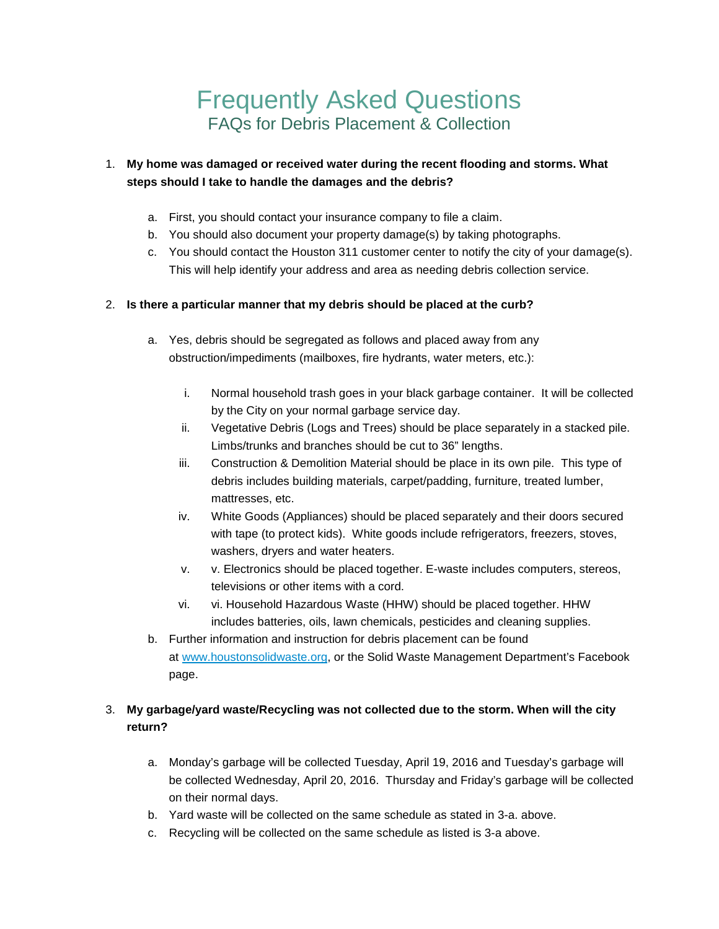# Frequently Asked Questions FAQs for Debris Placement & Collection

## 1. **My home was damaged or received water during the recent flooding and storms. What steps should I take to handle the damages and the debris?**

- a. First, you should contact your insurance company to file a claim.
- b. You should also document your property damage(s) by taking photographs.
- c. You should contact the Houston 311 customer center to notify the city of your damage(s). This will help identify your address and area as needing debris collection service.

#### 2. **Is there a particular manner that my debris should be placed at the curb?**

- a. Yes, debris should be segregated as follows and placed away from any obstruction/impediments (mailboxes, fire hydrants, water meters, etc.):
	- i. Normal household trash goes in your black garbage container. It will be collected by the City on your normal garbage service day.
	- ii. Vegetative Debris (Logs and Trees) should be place separately in a stacked pile. Limbs/trunks and branches should be cut to 36" lengths.
	- iii. Construction & Demolition Material should be place in its own pile. This type of debris includes building materials, carpet/padding, furniture, treated lumber, mattresses, etc.
	- iv. White Goods (Appliances) should be placed separately and their doors secured with tape (to protect kids). White goods include refrigerators, freezers, stoves, washers, dryers and water heaters.
	- v. v. Electronics should be placed together. E-waste includes computers, stereos, televisions or other items with a cord.
	- vi. vi. Household Hazardous Waste (HHW) should be placed together. HHW includes batteries, oils, lawn chemicals, pesticides and cleaning supplies.
- b. Further information and instruction for debris placement can be found at [www.houstonsolidwaste.org,](http://www.houstonsolidwaste.org/) or the Solid Waste Management Department's Facebook page.

# 3. **My garbage/yard waste/Recycling was not collected due to the storm. When will the city return?**

- a. Monday's garbage will be collected Tuesday, April 19, 2016 and Tuesday's garbage will be collected Wednesday, April 20, 2016. Thursday and Friday's garbage will be collected on their normal days.
- b. Yard waste will be collected on the same schedule as stated in 3-a. above.
- c. Recycling will be collected on the same schedule as listed is 3-a above.